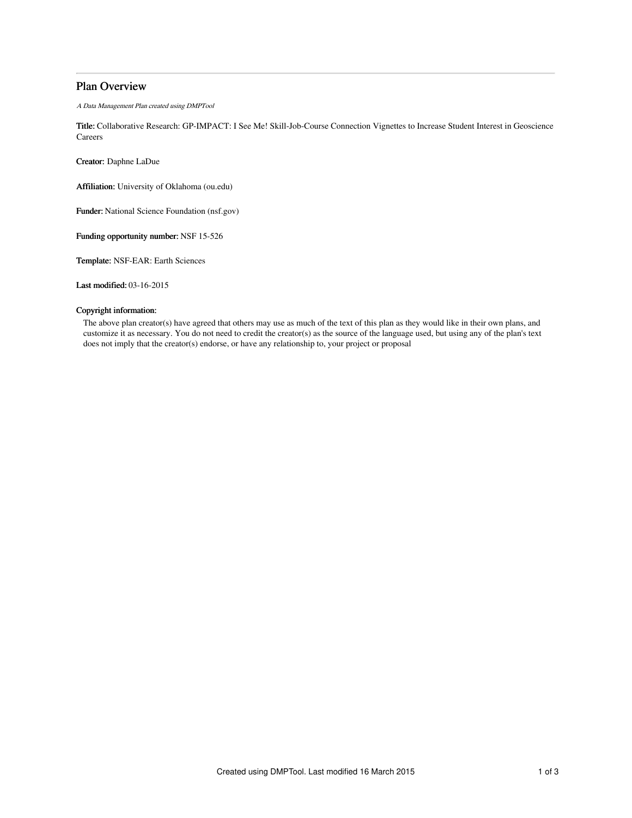# Plan Overview

A Data Management Plan created using DMPTool

Title: Collaborative Research: GP-IMPACT: I See Me! Skill-Job-Course Connection Vignettes to Increase Student Interest in Geoscience **Careers** 

Creator: Daphne LaDue

Affiliation: University of Oklahoma (ou.edu)

Funder: National Science Foundation (nsf.gov)

Funding opportunity number: NSF 15-526

Template: NSF-EAR: Earth Sciences

Last modified: 03-16-2015

## Copyright information:

The above plan creator(s) have agreed that others may use as much of the text of this plan as they would like in their own plans, and customize it as necessary. You do not need to credit the creator(s) as the source of the language used, but using any of the plan's text does not imply that the creator(s) endorse, or have any relationship to, your project or proposal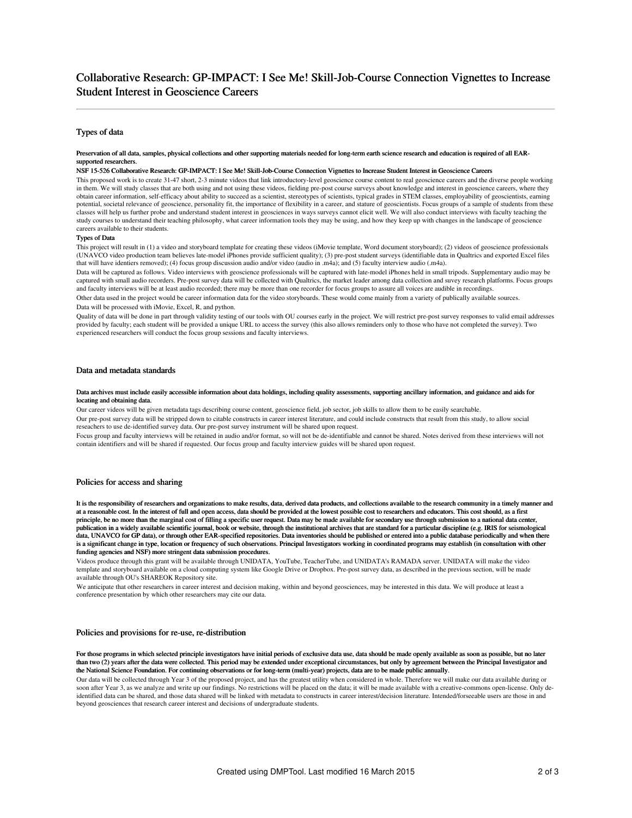## Types of data

#### Preservation of all data, samples, physical collections and other supporting materials needed for long-term earth science research and education is required of all EARsupported researchers.

#### NSF 15-526 Collaborative Research: GP-IMPACT: I See Me! Skill-Job-Course Connection Vignettes to Increase Student Interest in Geoscience Careers

This proposed work is to create 31-47 short, 2-3 minute videos that link introductory-level geoscience course content to real geoscience careers and the diverse people working in them. We will study classes that are both using and not using these videos, fielding pre-post course surveys about knowledge and interest in geoscience careers, where they obtain career information, self-efficacy about ability to succeed as a scientist, stereotypes of scientists, typical grades in STEM classes, employability of geoscientists, earning potential, societal relevance of geoscience, personality fit, the importance of flexibility in a career, and stature of geoscientists. Focus groups of a sample of students from these classes will help us further probe and understand student interest in geosciences in ways surveys cannot elicit well. We will also conduct interviews with faculty teaching the study courses to understand their teaching philosophy, what career information tools they may be using, and how they keep up with changes in the landscape of geoscience careers available to their students.

#### Types of Data

This project will result in (1) a video and storyboard template for creating these videos (iMovie template, Word document storyboard); (2) videos of geoscience professionals (UNAVCO video production team believes late-model iPhones provide sufficient quality); (3) pre-post student surveys (identifiable data in Qualtrics and exported Excel files that will have identiers removed); (4) focus group discussion audio and/or video (audio in .m4a); and (5) faculty interview audio (.m4a).

Data will be captured as follows. Video interviews with geoscience professionals will be captured with late-model iPhones held in small tripods. Supplementary audio may be captured with small audio recorders. Pre-post survey data will be collected with Qualtrics, the market leader among data collection and suvey research platforms. Focus groups and faculty interviews will be at least audio recorded; there may be more than one recorder for focus groups to assure all voices are audible in recordings.

Other data used in the project would be career information data for the video storyboards. These would come mainly from a variety of publically available sources. Data will be processed with iMovie, Excel, R, and python.

Quality of data will be done in part through validity testing of our tools with OU courses early in the project. We will restrict pre-post survey responses to valid email addresses provided by faculty; each student will be provided a unique URL to access the survey (this also allows reminders only to those who have not completed the survey). Two experienced researchers will conduct the focus group sessions and faculty interviews.

#### Data and metadata standards

Data archives must include easily accessible information about data holdings, including quality assessments, supporting ancillary information, and guidance and aids for locating and obtaining data.

Our career videos will be given metadata tags describing course content, geoscience field, job sector, job skills to allow them to be easily searchable.

Our pre-post survey data will be stripped down to citable constructs in career interest literature, and could include constructs that result from this study, to allow social reseachers to use de-identified survey data. Our pre-post survey instrument will be shared upon request.

Focus group and faculty interviews will be retained in audio and/or format, so will not be de-identifiable and cannot be shared. Notes derived from these interviews will not contain identifiers and will be shared if requested. Our focus group and faculty interview guides will be shared upon request.

#### Policies for access and sharing

It is the responsibility of researchers and organizations to make results, data, derived data products, and collections available to the research community in a timely manner and at a reasonable cost. In the interest of full and open access, data should be provided at the lowest possible cost to researchers and educators. This cost should, as a first principle, be no more than the marginal cost of filling a specific user request. Data may be made available for secondary use through submission to a national data center, publication in a widely available scientific journal, book or website, through the institutional archives that are standard for a particular discipline (e.g. IRIS for seismological data, UNAVCO for GP data), or through other EAR-specified repositories. Data inventories should be published or entered into a public database periodically and when there is a significant change in type, location or frequency of such observations. Principal Investigators working in coordinated programs may establish (in consultation with other funding agencies and NSF) more stringent data submission procedures.

Videos produce through this grant will be available through UNIDATA, YouTube, TeacherTube, and UNIDATA's RAMADA server. UNIDATA will make the video template and storyboard available on a cloud computing system like Google Drive or Dropbox. Pre-post survey data, as described in the previous section, will be made available through OU's SHAREOK Repository site.

We anticipate that other researchers in career interest and decision making, within and beyond geosciences, may be interested in this data. We will produce at least a conference presentation by which other researchers may cite our data.

#### Policies and provisions for re-use, re-distribution

For those programs in which selected principle investigators have initial periods of exclusive data use, data should be made openly available as soon as possible, but no later than two (2) years after the data were collected. This period may be extended under exceptional circumstances, but only by agreement between the Principal Investigator and the National Science Foundation. For continuing observations or for long-term (multi-year) projects, data are to be made public annually.

Our data will be collected through Year 3 of the proposed project, and has the greatest utility when considered in whole. Therefore we will make our data available during or soon after Year 3, as we analyze and write up our findings. No restrictions will be placed on the data; it will be made available with a creative-commons open-license. Only deidentified data can be shared, and those data shared will be linked with metadata to constructs in career interest/decision literature. Intended/forseeable users are those in and beyond geosciences that research career interest and decisions of undergraduate students.